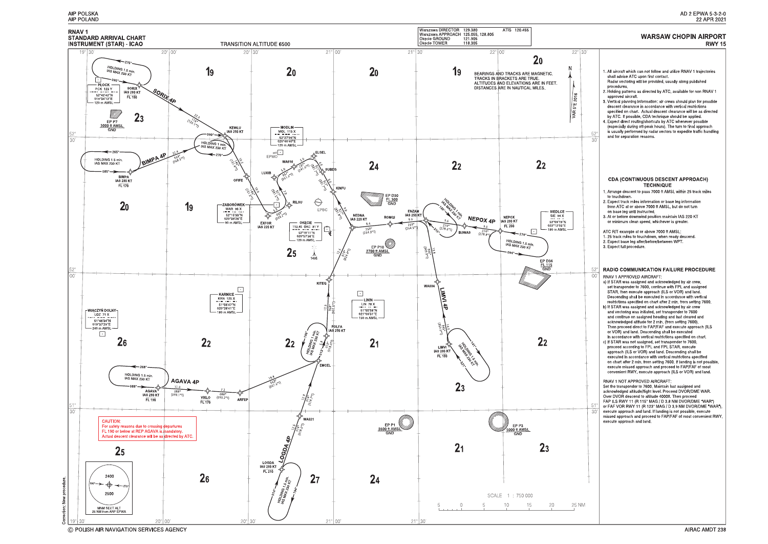

C POLISH AIR NAVIGATION SERVICES AGENCY

#### AD 2 EPWA 5-3-2-0 22 APR 2021

#### **WARSAW CHOPIN AIRPORT RWY 15**

1. All aircraft which can not follow and utilize RNAV 1 trajectories shall advise ATC upon first contact. Radar vectoring will be provided, usually along published procedures. 2. Holding patterns as directed by ATC, available for non RNAV 1 approved aircraft 3. Vertical planning information: air crews should plan for possible descent clearance in accordance with vertical restrictions<br>specified on chart. Actual descent clearance will be as directed by ATC. If possible, CDA technique should be applied. 4. Expect direct routing/shortcuts by ATC whenever possible (especially during off-peak hours). The turn to final approach is usually performed by radar vectors to expedite traffic handling  $\mathbb{R}^{\prime}$ and for separation reasons. -30 **CDA (CONTINUOUS DESCENT APPROACH) TECHNIQUE** 1. Arrange descent to pass 7000 ft AMSL within 25 track miles to touchdown 2. Expect track miles information or base leg information from ATC at or above 7000 ft AMSL, but do not turn on base leg until instructed. 3. At or before downwind position maintain IAS 220 KT or minimum clean speed, whichever is greater. ATC R/T example at or above 7000 ft AMSL: 1. 25 track miles to touchdown, when ready descend. 2. Expect base leg after/before/between WPT. 3. Expect full procedure. RADIO COMMUNICATION FAILURE PROCEDURE 52  $\bigcap$ RNAV 1 APPROVED AIRCRAFT a) If STAR was assigned and acknowledged by air crew,<br>set transponder to 7600, continue with FPL and assigned STAR, then execute approach (ILS or VOR) and land Descending shall be executed in accordance with vertical restrictions specified on chart after 2 min. from setting 7600.<br>b) If STAR was assigned and acknowledged by air crew and vectoring was initiated, set transponder to 7600 and continue on assigned heading and last cleared and acknowledged altitude for 2 min. (from setting 7600).<br>Then proceed direct to FAP/FAF and execute approach (ILS or VOR) and land. Descending shall be executed in accordance with vertical restrictions specified on chart. c) If STAR was not assigned, set transponder to 7600,<br>proceed according to FPL and FPL STAR, execute approach (ILS or VOR) and land. Descending shall be executed in accordance with vertical restrictions specified on chart after 2 min. from setting 7600. If landing is not possible, execute missed approach and proceed to FAP/FAF of most convenient RWY, execute approach (ILS or VOR) and land. **RNAV 1 NOT APPROVED AIRCRAFT:** Set the transponder to 7600. Maintain last assigned and acknowledged altitude/flight level. Proceed DVOR/DME WAR. Over DVOR descend to altitude 4000ft. Then proceed<br>FAP ILS RWY 11 (R 115° MAG / D 3.8 NM DVOR/DME "WAR") or FAF VOR RWY 11 (R 123° MAG / D 3.9 NM DVOR/DME "WAR"), execute approach and land. If landing is not possible, execute missed approach and proceed to FAP/FAF of most convenient RWY, execute approach and land.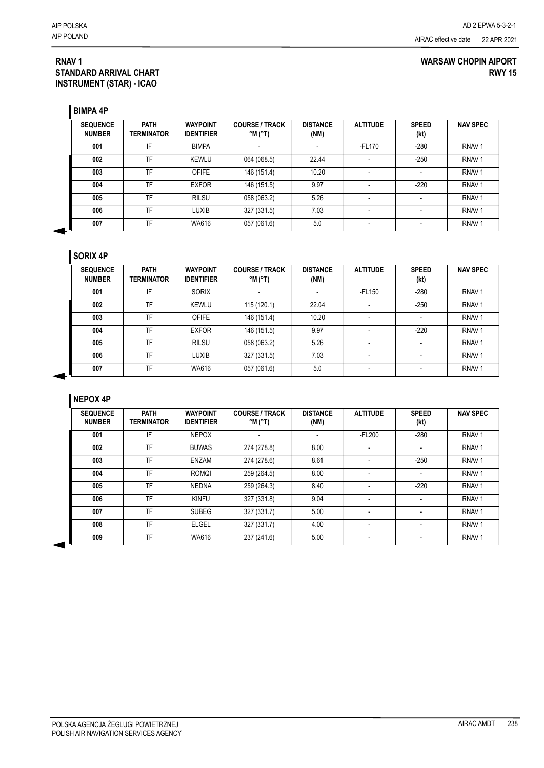### **RNAV 1 STANDARD ARRIVAL CHART INSTRUMENT (STAR) - ICAO**

### **WARSAW CHOPIN AIPORT RWY 15**

**BIMPA 4P**

| <b>SEQUENCE</b><br><b>NUMBER</b> | <b>PATH</b><br><b>TERMINATOR</b> | <b>WAYPOINT</b><br><b>IDENTIFIER</b> | <b>COURSE / TRACK</b><br>$^{\circ}$ M ( $^{\circ}$ T) | <b>DISTANCE</b><br>(NM) | <b>ALTITUDE</b>          | <b>SPEED</b><br>(kt) | <b>NAV SPEC</b>   |
|----------------------------------|----------------------------------|--------------------------------------|-------------------------------------------------------|-------------------------|--------------------------|----------------------|-------------------|
| 001                              | IF                               | <b>BIMPA</b>                         |                                                       |                         | -FL170                   | $-280$               | RNAV <sub>1</sub> |
| 002                              | TF                               | <b>KEWLU</b>                         | 064 (068.5)                                           | 22.44                   | $\overline{\phantom{a}}$ | $-250$               | RNAV <sub>1</sub> |
| 003                              | TF                               | <b>OFIFE</b>                         | 146 (151.4)                                           | 10.20                   |                          |                      | RNAV <sub>1</sub> |
| 004                              | TF                               | <b>EXFOR</b>                         | 146 (151.5)                                           | 9.97                    |                          | $-220$               | RNAV <sub>1</sub> |
| 005                              | TF                               | <b>RILSU</b>                         | 058 (063.2)                                           | 5.26                    |                          |                      | RNAV <sub>1</sub> |
| 006                              | TF                               | <b>LUXIB</b>                         | 327 (331.5)                                           | 7.03                    |                          |                      | RNAV <sub>1</sub> |
| 007                              | TF                               | WA616                                | 057 (061.6)                                           | 5.0                     | $\overline{\phantom{a}}$ |                      | RNAV <sub>1</sub> |

## **SORIX 4P**

| <b>SEQUENCE</b><br><b>NUMBER</b> | <b>PATH</b><br><b>TERMINATOR</b> | <b>WAYPOINT</b><br><b>IDENTIFIER</b> | <b>COURSE / TRACK</b><br>$^{\circ}$ M ( $^{\circ}$ T) | <b>DISTANCE</b><br>(NM) | <b>ALTITUDE</b>          | <b>SPEED</b><br>(kt) | <b>NAV SPEC</b>   |
|----------------------------------|----------------------------------|--------------------------------------|-------------------------------------------------------|-------------------------|--------------------------|----------------------|-------------------|
| 001                              | IF                               | <b>SORIX</b>                         |                                                       |                         | -FL150                   | $-280$               | RNAV <sub>1</sub> |
| 002                              | TF                               | KEWLU                                | 115 (120.1)                                           | 22.04                   | $\overline{\phantom{a}}$ | $-250$               | RNAV <sub>1</sub> |
| 003                              | TF                               | <b>OFIFE</b>                         | 146 (151.4)                                           | 10.20                   |                          |                      | RNAV <sub>1</sub> |
| 004                              | TF                               | <b>EXFOR</b>                         | 146 (151.5)                                           | 9.97                    |                          | $-220$               | RNAV <sub>1</sub> |
| 005                              | TF                               | <b>RILSU</b>                         | 058 (063.2)                                           | 5.26                    | ۰                        |                      | RNAV <sub>1</sub> |
| 006                              | TF                               | <b>LUXIB</b>                         | 327 (331.5)                                           | 7.03                    |                          |                      | RNAV <sub>1</sub> |
| 007                              | TF                               | WA616                                | 057 (061.6)                                           | 5.0                     | ٠                        |                      | RNAV <sub>1</sub> |

## **NEPOX 4P**

| <b>SEQUENCE</b><br><b>NUMBER</b> | <b>PATH</b><br><b>TERMINATOR</b> | <b>WAYPOINT</b><br><b>IDENTIFIER</b> | <b>COURSE / TRACK</b><br>$^{\circ}$ M ( $^{\circ}$ T) | <b>DISTANCE</b><br>(NM) | <b>ALTITUDE</b>          | <b>SPEED</b><br>(kt) | <b>NAV SPEC</b>   |
|----------------------------------|----------------------------------|--------------------------------------|-------------------------------------------------------|-------------------------|--------------------------|----------------------|-------------------|
| 001                              | IF                               | <b>NEPOX</b>                         |                                                       |                         | $-FL200$                 | $-280$               | RNAV <sub>1</sub> |
| 002                              | TF                               | <b>BUWAS</b>                         | 274 (278.8)                                           | 8.00                    | $\blacksquare$           |                      | RNAV <sub>1</sub> |
| 003                              | TF                               | <b>ENZAM</b>                         | 274 (278.6)                                           | 8.61                    |                          | $-250$               | RNAV <sub>1</sub> |
| 004                              | TF                               | <b>ROMQI</b>                         | 259 (264.5)                                           | 8.00                    |                          |                      | RNAV <sub>1</sub> |
| 005                              | <b>TF</b>                        | <b>NEDNA</b>                         | 259 (264.3)                                           | 8.40                    | $\blacksquare$           | $-220$               | RNAV <sub>1</sub> |
| 006                              | TF                               | <b>KINFU</b>                         | 327 (331.8)                                           | 9.04                    | $\blacksquare$           |                      | RNAV <sub>1</sub> |
| 007                              | <b>TF</b>                        | <b>SUBEG</b>                         | 327 (331.7)                                           | 5.00                    |                          |                      | RNAV <sub>1</sub> |
| 008                              | <b>TF</b>                        | <b>ELGEL</b>                         | 327 (331.7)                                           | 4.00                    | $\overline{\phantom{a}}$ |                      | RNAV <sub>1</sub> |
| 009                              | TF                               | WA616                                | 237 (241.6)                                           | 5.00                    | $\overline{\phantom{a}}$ |                      | RNAV <sub>1</sub> |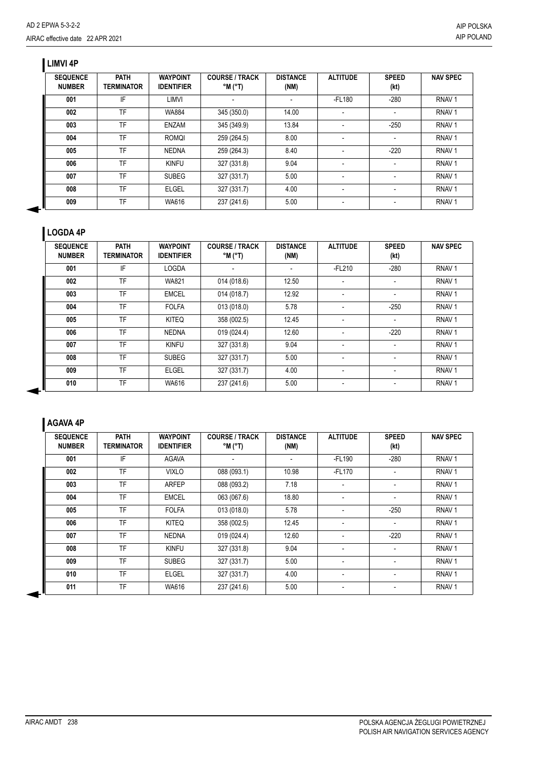# **LIMVI 4P**

| <b>SEQUENCE</b><br><b>NUMBER</b> | <b>PATH</b><br><b>TERMINATOR</b> | <b>WAYPOINT</b><br><b>IDENTIFIER</b> | <b>COURSE / TRACK</b><br>$^{\circ}$ M ( $^{\circ}$ T) | <b>DISTANCE</b><br>(NM) | <b>ALTITUDE</b>          | <b>SPEED</b><br>(kt) | <b>NAV SPEC</b>   |
|----------------------------------|----------------------------------|--------------------------------------|-------------------------------------------------------|-------------------------|--------------------------|----------------------|-------------------|
| 001                              | IF                               | LIMVI                                |                                                       |                         | -FL180                   | $-280$               | RNAV <sub>1</sub> |
| 002                              | TF                               | <b>WA884</b>                         | 345 (350.0)                                           | 14.00                   |                          |                      | RNAV <sub>1</sub> |
| 003                              | TF                               | ENZAM                                | 345 (349.9)                                           | 13.84                   | $\overline{\phantom{a}}$ | $-250$               | RNAV <sub>1</sub> |
| 004                              | TF                               | <b>ROMQI</b>                         | 259 (264.5)                                           | 8.00                    |                          |                      | RNAV <sub>1</sub> |
| 005                              | TF                               | <b>NEDNA</b>                         | 259 (264.3)                                           | 8.40                    |                          | $-220$               | RNAV <sub>1</sub> |
| 006                              | TF                               | <b>KINFU</b>                         | 327 (331.8)                                           | 9.04                    | $\overline{\phantom{a}}$ |                      | RNAV <sub>1</sub> |
| 007                              | TF                               | <b>SUBEG</b>                         | 327 (331.7)                                           | 5.00                    |                          |                      | RNAV <sub>1</sub> |
| 008                              | TF                               | <b>ELGEL</b>                         | 327 (331.7)                                           | 4.00                    |                          |                      | RNAV <sub>1</sub> |
| 009                              | TF                               | WA616                                | 237 (241.6)                                           | 5.00                    |                          |                      | RNAV <sub>1</sub> |

## **LOGDA 4P**

| <b>SEQUENCE</b><br><b>NUMBER</b> | <b>PATH</b><br>TERMINATOR | <b>WAYPOINT</b><br><b>IDENTIFIER</b> | <b>COURSE / TRACK</b><br>$^{\circ}$ M ( $^{\circ}$ T) | <b>DISTANCE</b><br>(NM) | <b>ALTITUDE</b>          | <b>SPEED</b><br>(kt)     | <b>NAV SPEC</b>   |
|----------------------------------|---------------------------|--------------------------------------|-------------------------------------------------------|-------------------------|--------------------------|--------------------------|-------------------|
| 001                              | IF                        | <b>LOGDA</b>                         | $\overline{\phantom{a}}$                              |                         | $-FL210$                 | $-280$                   | RNAV <sub>1</sub> |
| 002                              | TF                        | <b>WA821</b>                         | 014 (018.6)                                           | 12.50                   | $\overline{\phantom{a}}$ | $\overline{\phantom{a}}$ | RNAV <sub>1</sub> |
| 003                              | TF                        | EMCEL                                | 014 (018.7)                                           | 12.92                   | $\overline{\phantom{a}}$ |                          | RNAV <sub>1</sub> |
| 004                              | TF                        | <b>FOLFA</b>                         | 013 (018.0)                                           | 5.78                    | $\overline{\phantom{a}}$ | $-250$                   | RNAV <sub>1</sub> |
| 005                              | TF                        | <b>KITEQ</b>                         | 358 (002.5)                                           | 12.45                   | $\overline{\phantom{a}}$ |                          | RNAV <sub>1</sub> |
| 006                              | <b>TF</b>                 | <b>NEDNA</b>                         | 019 (024.4)                                           | 12.60                   |                          | $-220$                   | RNAV <sub>1</sub> |
| 007                              | TF                        | <b>KINFU</b>                         | 327 (331.8)                                           | 9.04                    | $\overline{\phantom{a}}$ |                          | RNAV <sub>1</sub> |
| 008                              | TF                        | <b>SUBEG</b>                         | 327 (331.7)                                           | 5.00                    | $\overline{\phantom{a}}$ | $\overline{\phantom{a}}$ | RNAV <sub>1</sub> |
| 009                              | TF                        | <b>ELGEL</b>                         | 327 (331.7)                                           | 4.00                    | $\overline{\phantom{a}}$ | $\overline{\phantom{a}}$ | RNAV <sub>1</sub> |
| 010                              | TF                        | WA616                                | 237 (241.6)                                           | 5.00                    | $\overline{\phantom{a}}$ |                          | RNAV <sub>1</sub> |

# **AGAVA 4P**

| <b>SEQUENCE</b><br><b>NUMBER</b> | <b>PATH</b><br><b>TERMINATOR</b> | <b>WAYPOINT</b><br><b>IDENTIFIER</b> | <b>COURSE / TRACK</b><br>$^{\circ}$ M $^{\circ}$ T) | <b>DISTANCE</b><br>(NM) | <b>ALTITUDE</b>          | <b>SPEED</b><br>(kt)     | <b>NAV SPEC</b>   |
|----------------------------------|----------------------------------|--------------------------------------|-----------------------------------------------------|-------------------------|--------------------------|--------------------------|-------------------|
| 001                              | IF                               | <b>AGAVA</b>                         |                                                     |                         | $-FL190$                 | $-280$                   | RNAV <sub>1</sub> |
| 002                              | <b>TF</b>                        | <b>VIXLO</b>                         | 088 (093.1)                                         | 10.98                   | -FL170                   | $\overline{\phantom{a}}$ | RNAV <sub>1</sub> |
| 003                              | <b>TF</b>                        | <b>ARFEP</b>                         | 088 (093.2)                                         | 7.18                    | $\overline{\phantom{a}}$ |                          | RNAV <sub>1</sub> |
| 004                              | <b>TF</b>                        | <b>EMCEL</b>                         | 063 (067.6)                                         | 18.80                   | ٠                        |                          | RNAV <sub>1</sub> |
| 005                              | <b>TF</b>                        | <b>FOLFA</b>                         | 013 (018.0)                                         | 5.78                    |                          | $-250$                   | RNAV <sub>1</sub> |
| 006                              | <b>TF</b>                        | <b>KITEQ</b>                         | 358 (002.5)                                         | 12.45                   |                          |                          | RNAV <sub>1</sub> |
| 007                              | <b>TF</b>                        | <b>NEDNA</b>                         | 019 (024.4)                                         | 12.60                   | $\overline{\phantom{0}}$ | $-220$                   | RNAV <sub>1</sub> |
| 008                              | <b>TF</b>                        | <b>KINFU</b>                         | 327 (331.8)                                         | 9.04                    | $\overline{\phantom{0}}$ |                          | RNAV <sub>1</sub> |
| 009                              | <b>TF</b>                        | <b>SUBEG</b>                         | 327 (331.7)                                         | 5.00                    | -                        |                          | RNAV <sub>1</sub> |
| 010                              | <b>TF</b>                        | <b>ELGEL</b>                         | 327 (331.7)                                         | 4.00                    | $\overline{\phantom{a}}$ |                          | RNAV <sub>1</sub> |
| 011                              | <b>TF</b>                        | <b>WA616</b>                         | 237 (241.6)                                         | 5.00                    |                          |                          | RNAV <sub>1</sub> |